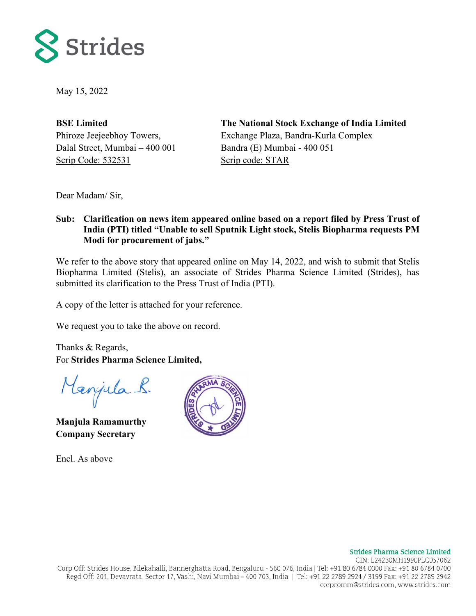

May 15, 2022

**BSE Limited** Phiroze Jeejeebhoy Towers, Dalal Street, Mumbai – 400 001 Scrip Code: 532531

**The National Stock Exchange of India Limited** Exchange Plaza, Bandra-Kurla Complex Bandra (E) Mumbai - 400 051 Scrip code: STAR

Dear Madam/ Sir,

## **Sub: Clarification on news item appeared online based on a report filed by Press Trust of India (PTI) titled "Unable to sell Sputnik Light stock, Stelis Biopharma requests PM Modi for procurement of jabs."**

We refer to the above story that appeared online on May 14, 2022, and wish to submit that Stelis Biopharma Limited (Stelis), an associate of Strides Pharma Science Limited (Strides), has submitted its clarification to the Press Trust of India (PTI).

A copy of the letter is attached for your reference.

We request you to take the above on record.

Thanks & Regards, For **Strides Pharma Science Limited,**

Menjula R.

**Manjula Ramamurthy Company Secretary**

Encl. As above



CIN: L24230MH1990PLC057062 Corp Off: Strides House, Bilekahalli, Bannerghatta Road, Bengaluru - 560 076, India | Tel: +91 80 6784 0000 Fax: +91 80 6784 0700 Regd Off: 201, Devavrata, Sector 17, Vashi, Navi Mumbai – 400 703, India | Tel: +91 22 2789 2924 / 3199 Fax: +91 22 2789 2942 corpcomm@strides.com, www.strides.com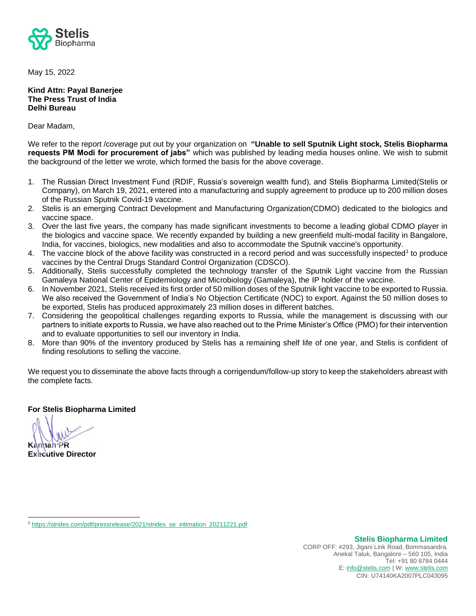

May 15, 2022

## **Kind Attn: Payal Banerjee The Press Trust of India Delhi Bureau**

Dear Madam,

We refer to the report /coverage put out by your organization on **"Unable to sell Sputnik Light stock, Stelis Biopharma requests PM Modi for procurement of jabs"** which was published by leading media houses online. We wish to submit the background of the letter we wrote, which formed the basis for the above coverage.

- 1. The Russian Direct Investment Fund (RDIF, Russia's sovereign wealth fund), and Stelis Biopharma Limited(Stelis or Company), on March 19, 2021, entered into a manufacturing and supply agreement to produce up to 200 million doses of the Russian Sputnik Covid-19 vaccine.
- 2. Stelis is an emerging Contract Development and Manufacturing Organization(CDMO) dedicated to the biologics and vaccine space.
- 3. Over the last five years, the company has made significant investments to become a leading global CDMO player in the biologics and vaccine space. We recently expanded by building a new greenfield multi-modal facility in Bangalore, India, for vaccines, biologics, new modalities and also to accommodate the Sputnik vaccine's opportunity.
- 4. The vaccine block of the above facility was constructed in a record period and was successfully inspected<sup>1</sup> to produce vaccines by the Central Drugs Standard Control Organization (CDSCO).
- 5. Additionally, Stelis successfully completed the technology transfer of the Sputnik Light vaccine from the Russian Gamaleya National Center of Epidemiology and Microbiology (Gamaleya), the IP holder of the vaccine.
- 6. In November 2021, Stelis received its first order of 50 million doses of the Sputnik light vaccine to be exported to Russia. We also received the Government of India's No Objection Certificate (NOC) to export. Against the 50 million doses to be exported, Stelis has produced approximately 23 million doses in different batches.
- 7. Considering the geopolitical challenges regarding exports to Russia, while the management is discussing with our partners to initiate exports to Russia, we have also reached out to the Prime Minister's Office (PMO) for their intervention and to evaluate opportunities to sell our inventory in India.
- 8. More than 90% of the inventory produced by Stelis has a remaining shelf life of one year, and Stelis is confident of finding resolutions to selling the vaccine.

We request you to disseminate the above facts through a corrigendum/follow-up story to keep the stakeholders abreast with the complete facts.

**For Stelis Biopharma Limited**

**Kannan PR**

**Executive Director** 

<sup>1</sup> [https://strides.com/pdf/pressrelease/2021/strides\\_se\\_intimation\\_20211221.pdf](https://strides.com/pdf/pressrelease/2021/strides_se_intimation_20211221.pdf)